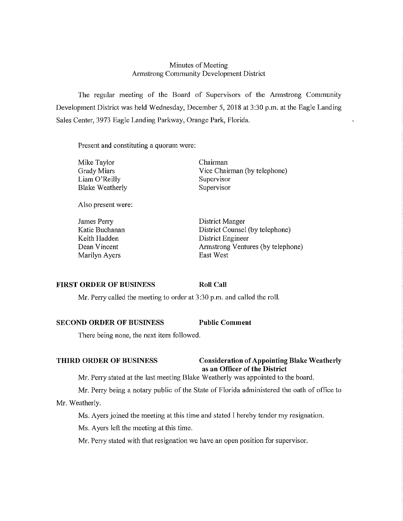# Minutes of Meeting Armstrong Community Development District

The regular meeting of the Board of Supervisors of the Armstrong Community Development District was held Wednesday, December 5, 2018 at 3:30 p.m. at the Eagle Landing Sales Center, 3973 Eagle Landing Parkway, Orange Park, Florida.

Present and constituting a quorum were:

| Mike Taylor            | Chairman                     |
|------------------------|------------------------------|
| Grady Miars            | Vice Chairman (by telephone) |
| Liam O'Reilly          | Supervisor                   |
| <b>Blake Weatherly</b> | Supervisor                   |

Also present were:

James Perry Katie Buchanan Keith Hadden Dean Vincent Marilyn Ayers

District Manger District Counsel (by telephone) District Engineer Armstrong Ventures (by telephone) East West

# **FIRST ORDER OF BUSINESS**

**Roll Call** 

Mr. Perry called the meeting to order at 3:30 p.m. and called the roll.

# **SECOND ORDER OF BUSINESS Public Comment**

There being none, the next item followed.

# **THIRD ORDER OF BUSINESS** Consideration of Appointing Blake Weatherly **as an Officer of the District**

Mr. Perry stated at the last meeting Blake Weatherly was appointed to the board.

Mr. Perry being a notary public of the State of Florida administered the oath of office to

# Mr. Weatherly.

Ms. Ayers joined the meeting at this time and stated I hereby tender my resignation.

Ms. Ayers left the meeting at this time.

Mr. Perry stated with that resignation we have an open position for supervisor.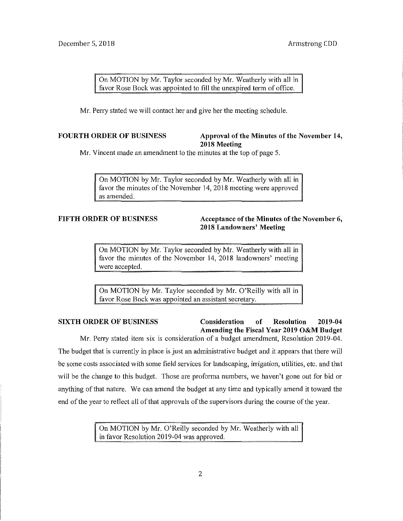On MOTION by Mr. Taylor seconded by Mr. Weatherly with all in favor Rose Bock was appointed to fill the unexpired term of office.

Mr. Perry stated we will contact her and give her the meeting schedule.

# **FOURTH ORDER OF BUSINESS Approval of the Minutes of the November 14, 2018 Meeting**

Mr. Vincent made an amendment to the minutes at the top of page 5.

On MOTION by Mr. Taylor seconded by Mr. Weatherly with all in favor the minutes of the November 14, 2018 meeting were approved as amended.

# **FIFTH ORDER OF BUSINESS Acceptance of the Minutes of the November 6, 2018 Landowners' Meeting**

On MOTION by Mr. Taylor seconded by Mr. Weatherly with all in favor the minutes of the November 14, 2018 landowners' meeting were accepted.

On MOTION by Mr. Taylor seconded by Mr. O'Reilly with all in favor Rose Bock was appointed an assistant secretary.

# **SIXTH ORDER OF BUSINESS Consideration of Resolution 2019-04 Amending the Fiscal Year 2019 O&M Budget**

Mr. Perry stated item six is consideration of a budget amendment, Resolution 2019-04. The budget that is currently in place is just an administrative budget and it appears that there will be some costs associated with some field services for landscaping, irrigation, utilities, etc. and that will be the change to this budget. Those are proforma numbers, we haven't gone out for bid or anything of that nature. We can amend the budget at any time and typically amend it toward the end of the year to reflect all of that approvals of the supervisors during the course of the year.

> On MOTION by Mr. O'Reilly seconded by Mr. Weatherly with all in favor Resolution 2019-04 was approved.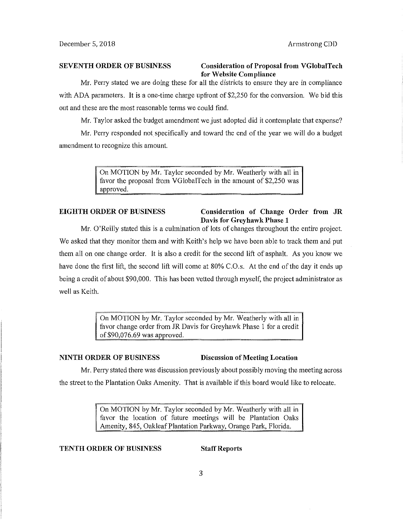# **SEVENTH ORDER OF BUSINESS Consideration of Proposal from VGlobalTech for Website Compliance**

Mr. Perry stated we are doing these for all the districts to ensure they are in compliance with ADA parameters. It is a one-time charge upfront of \$2,250 for the conversion. We bid this out and these are the most reasonable terms we could find.

Mr. Taylor asked the budget amendment we just adopted did it contemplate that expense?

Mr. Perry responded not specifically and toward the end of the year we will do a budget amendment to recognize this amount.

> On MOTION by Mr. Taylor seconded by Mr. Weatherly with all in favor the proposal from VGlobalTech in the amount of \$2,250 was approved.

### **EIGHTH ORDER OF BUSINESS Consideration of Change Order from JR Davis for Grey hawk Phase 1**

Mr. O'Reilly stated this is a culmination of lots of changes throughout the entire project. We asked that they monitor them and with Keith's help we have been able to track them and put them all on one change order. It is also a credit for the second lift of asphalt. As you know we have done the first lift, the second lift will come at 80% C.O.s. At the end of the day it ends up being a credit of about \$90,000. This has been vetted through myself, the project administrator as well as Keith.

> On MOTION by Mr. Taylor seconded by Mr. Weatherly with all in favor change order from JR Davis for Greyhawk Phase I for a credit of \$90,076.69 was approved.

# **NINTH ORDER OF BUSINESS Discussion of Meeting Location**

Mr. Perry stated there was discussion previously about possibly moving the meeting across the street to the Plantation Oaks Amenity. That is available if this board would like to relocate.

> On MOTION by Mr. Taylor seconded by Mr. Weatherly with all in favor the location of future meetings will be Plantation Oaks Amenity, 845, Oakleaf Plantation Parkway, Orange Park, Florida.

**TENTH ORDER OF BUSINESS Staff Reports**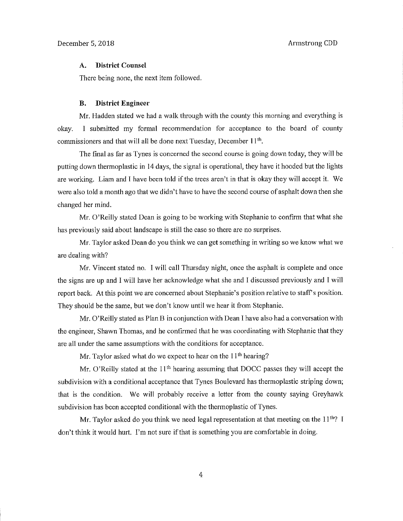### **A. District Counsel**

There being none, the next item followed.

### **B. District Engineer**

Mr. Hadden stated we had a walk through with the county this morning and everything is okay. I submitted my formal recommendation for acceptance to the board of county commissioners and that will all be done next Tuesday, December 11th.

The final as far as Tynes is concerned the second course is going down today, they will be putting down thermoplastic in 14 days, the signal is operational, they have it hooded but the lights are working. Liam and I have been told if the trees aren't in that is okay they will accept it. We were also told a month ago that we didn't have to have the second course of asphalt down then she changed her mind.

Mr. O'Reilly stated Dean is going to be working with Stephanie to confirm that what she has previously said about landscape is still the case so there are no surprises.

Mr. Taylor asked Dean do you think we can get something in writing so we know what we are dealing with?

Mr. Vincent stated no. I will call Thursday night, once the asphalt is complete and once the signs are up and I will have her acknowledge what she and I discussed previously and I will report back. At this point we are concerned about Stephanie's position relative to staff's position. They should be the same, but we don't know until we hear it from Stephanie.

Mr. O'Reilly stated as Plan B in conjunction with Dean **1** have also had a conversation with the engineer, Shawn Thomas, and he confirmed that he was coordinating with Stephanie that they are all under the same assumptions with the conditions for acceptance.

Mr. Taylor asked what do we expect to hear on the  $11<sup>th</sup>$  hearing?

Mr. O'Reilly stated at the 11<sup>th</sup> hearing assuming that DOCC passes they will accept the subdivision with a conditional acceptance that Tynes Boulevard has thermoplastic striping down; that is the condition. We will probably receive a letter from the county saying Greyhawk subdivision has been accepted conditional with the thermoplastic of Tynes.

Mr. Taylor asked do you think we need legal representation at that meeting on the  $11<sup>th</sup>$ ? I don't think it would hurt. I'm not sure if that is something you are comfortable in doing.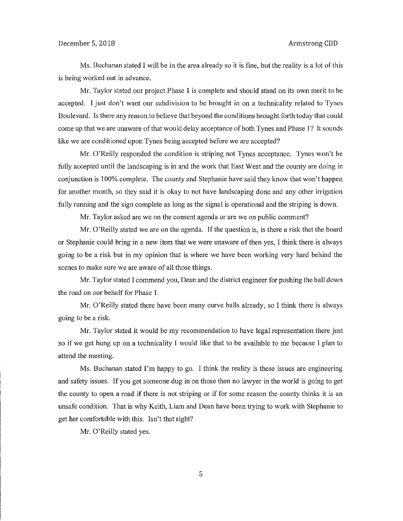Ms. Buchanan stated I will be in the area already so it is fine, but the reality is a lot of this is being worked out in advance.

Mr. Taylor stated our project Phase I is complete and should stand on its own merit to be accepted. I just don't want our subdivision to be brought in on a technicality related to Tynes Boulevard. Is there any reason to believe that beyond the conditions brought forth today that could come up that we are unaware of that would delay acceptance of both Tynes and Phase I? It sounds like we are conditioned upon Tynes being accepted before we are accepted?

Mr. O'Reilly responded the condition is striping not Tynes acceptance. Tynes won't be fully accepted until the landscaping is in and the work that East West and the county are doing in conjunction is I 00% complete. The county and Stephanie have said they know that won't happen for another month, so they said it is okay to not have landscaping done and any other irrigation fully running and the sign complete as long as the signal is operational and the striping is down.

Mr. Taylor asked are we on the consent agenda or are we on public comment?

Mr. O'Reilly stated we are on the agenda. If the question is, is there a risk that the board or Stephanie could bring in a new item that we were unaware of then yes, I think there is always going to be a risk but in my opinion that is where we have been working very hard behind the scenes to make sure we are aware of all those things.

Mr. Taylor stated I commend you, Dean and the district engineer for pushing the ball down the road on our behalf for Phase 1.

Mr. O'Reilly stated there have been many curve balls already, so I think there is always going to be a risk.

Mr. Taylor stated it would be my recommendation to have legal representation there just so if we get hung up on a technicality I would like that to be available to me because I plan to attend the meeting.

Ms. Buchanan stated I'm happy to go. I think the reality is these issues are engineering and safety issues. If you get someone dug in on those then no lawyer in the world is going to get the county to open a road if there is not striping or if for some reason the county thinks it is an unsafe condition. That is why Keith, Liam and Dean have been trying to work with Stephanie to get her comfortable with this. Isn't that right?

Mr. O'Reilly stated yes.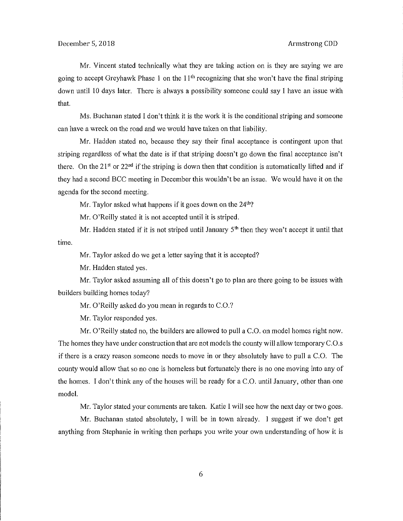Mr. Vincent stated technically what they are taking action on is they are saying we are going to accept Greyhawk Phase 1 on the  $11<sup>th</sup>$  recognizing that she won't have the final striping down until 10 days later. There is always a possibility someone could say I have an issue with that.

Ms. Buchanan stated I don't think it is the work it is the conditional striping and someone can have a wreck on the road and we would have taken on that liability.

Mr. Hadden stated no, because they say their final acceptance is contingent upon that striping regardless of what the date is if that striping doesn't go down the final acceptance isn't there. On the 21<sup>st</sup> or 22<sup>nd</sup> if the striping is down then that condition is automatically lifted and if they had a second BCC meeting in December this wouldn't be an issue. We would have it on the agenda for the second meeting.

Mr. Taylor asked what happens if it goes down on the  $24<sup>th</sup>$ ?

Mr. O'Reilly stated it is not accepted until it is striped.

time. Mr. Hadden stated if it is not striped until January 5<sup>th</sup> then they won't accept it until that

Mr. Taylor asked do we get a letter saying that it is accepted?

Mr. Hadden stated yes.

Mr. Taylor asked assuming all of this doesn't go to plan are there going to be issues with builders building homes today?

Mr. O'Reilly asked do you mean in regards to C.O.?

Mr. Taylor responded yes.

Mr. O'Reilly stated no, the builders are allowed to pull a C.0. on model homes right now. The homes they have under construction that are not models the county will allow temporary C.O.s ifthere is a crazy reason someone needs to move in or they absolutely have to pull a C.O. The county would allow that so no one is homeless but fortunately there is no one moving into any of the homes. I don't think any of the houses will be ready for a C.O. until January, other than one model.

Mr. Taylor stated your comments are taken. Katie I will see how the next day or two goes.

Mr. Buchanan stated absolutely, I will be in town already. I suggest if we don't get anything from Stephanie in writing then perhaps you write your own understanding of how it is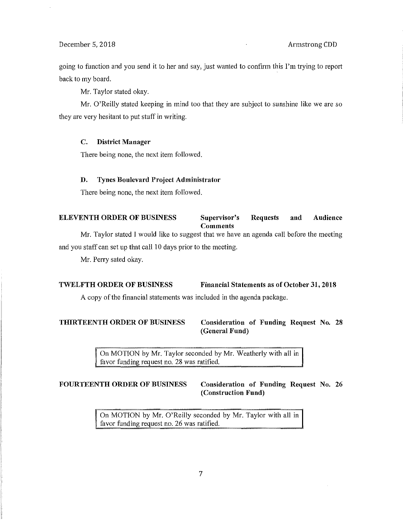# December 5, 2018 **Armstrong CDD**

going to function and you send it to her and say, just wanted to confirm this I'm trying to repott back to my board.

Mr. Taylor stated okay.

Mr. O'Reilly stated keeping in mind too that they are subject to sunshine like we are so they are very hesitant to put stuff in writing.

# **C. District Manager**

There being none, the next item followed.

### **D. Tynes Boulevard Project Administrator**

There being none, the next item followed.

# **ELEVENTH ORDER OF BUSINESS Supervisor's Requests and Audience Comments**

Mr. Taylor stated I would like to suggest that we have an agenda call before the meeting and you staff can set up that call 10 days prior to the meeting.

Mr. Perry sated okay.

### **TWELFTH ORDER OF BUSINESS Financial Statements as of October 31, 2018**

A copy of the financial statements was included in the agenda package.

**THIRTEENTH ORDER OF BUSINESS Consideration of Funding Request No. 28 (General Fund)** 

> On MOTION by Mr. Taylor seconded by Mr. Weatherly with all in favor funding request no. 28 was ratified.

# **FOURTEENTH ORDER OF BUSINESS Consideration of Funding Request** No. **26 (Construction Fund)**

On MOTION by Mr. O'Reilly seconded by Mr. Taylor with all in favor funding request no. 26 was ratified.